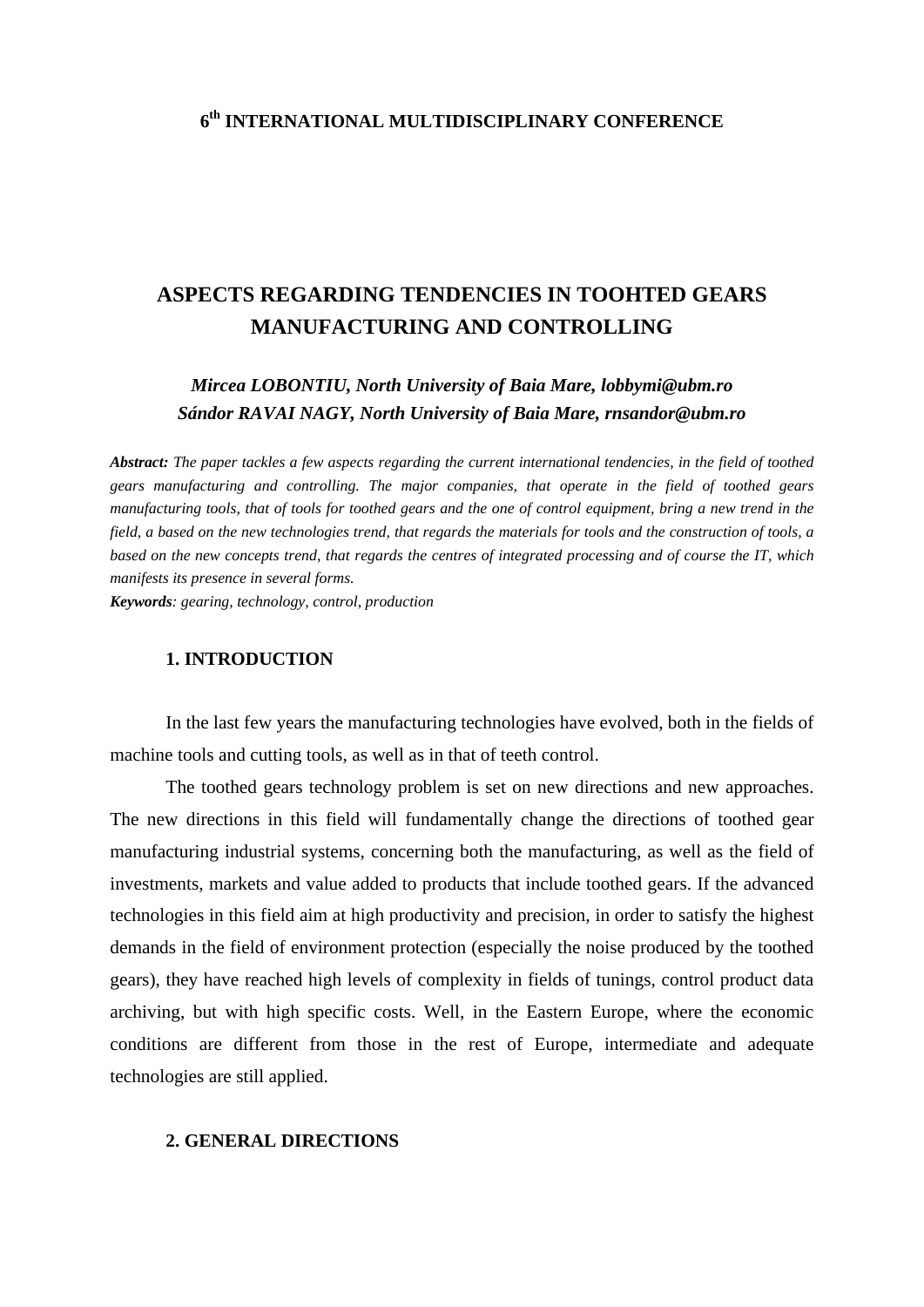### **6th INTERNATIONAL MULTIDISCIPLINARY CONFERENCE**

# **ASPECTS REGARDING TENDENCIES IN TOOHTED GEARS MANUFACTURING AND CONTROLLING**

# *Mircea LOBONTIU, North University of Baia Mare, lobbymi@ubm.ro Sándor RAVAI NAGY, North University of Baia Mare, rnsandor@ubm.ro*

*Abstract: The paper tackles a few aspects regarding the current international tendencies, in the field of toothed gears manufacturing and controlling. The major companies, that operate in the field of toothed gears manufacturing tools, that of tools for toothed gears and the one of control equipment, bring a new trend in the field, a based on the new technologies trend, that regards the materials for tools and the construction of tools, a based on the new concepts trend, that regards the centres of integrated processing and of course the IT, which manifests its presence in several forms.* 

*Keywords: gearing, technology, control, production* 

#### **1. INTRODUCTION**

 In the last few years the manufacturing technologies have evolved, both in the fields of machine tools and cutting tools, as well as in that of teeth control.

 The toothed gears technology problem is set on new directions and new approaches. The new directions in this field will fundamentally change the directions of toothed gear manufacturing industrial systems, concerning both the manufacturing, as well as the field of investments, markets and value added to products that include toothed gears. If the advanced technologies in this field aim at high productivity and precision, in order to satisfy the highest demands in the field of environment protection (especially the noise produced by the toothed gears), they have reached high levels of complexity in fields of tunings, control product data archiving, but with high specific costs. Well, in the Eastern Europe, where the economic conditions are different from those in the rest of Europe, intermediate and adequate technologies are still applied.

#### **2. GENERAL DIRECTIONS**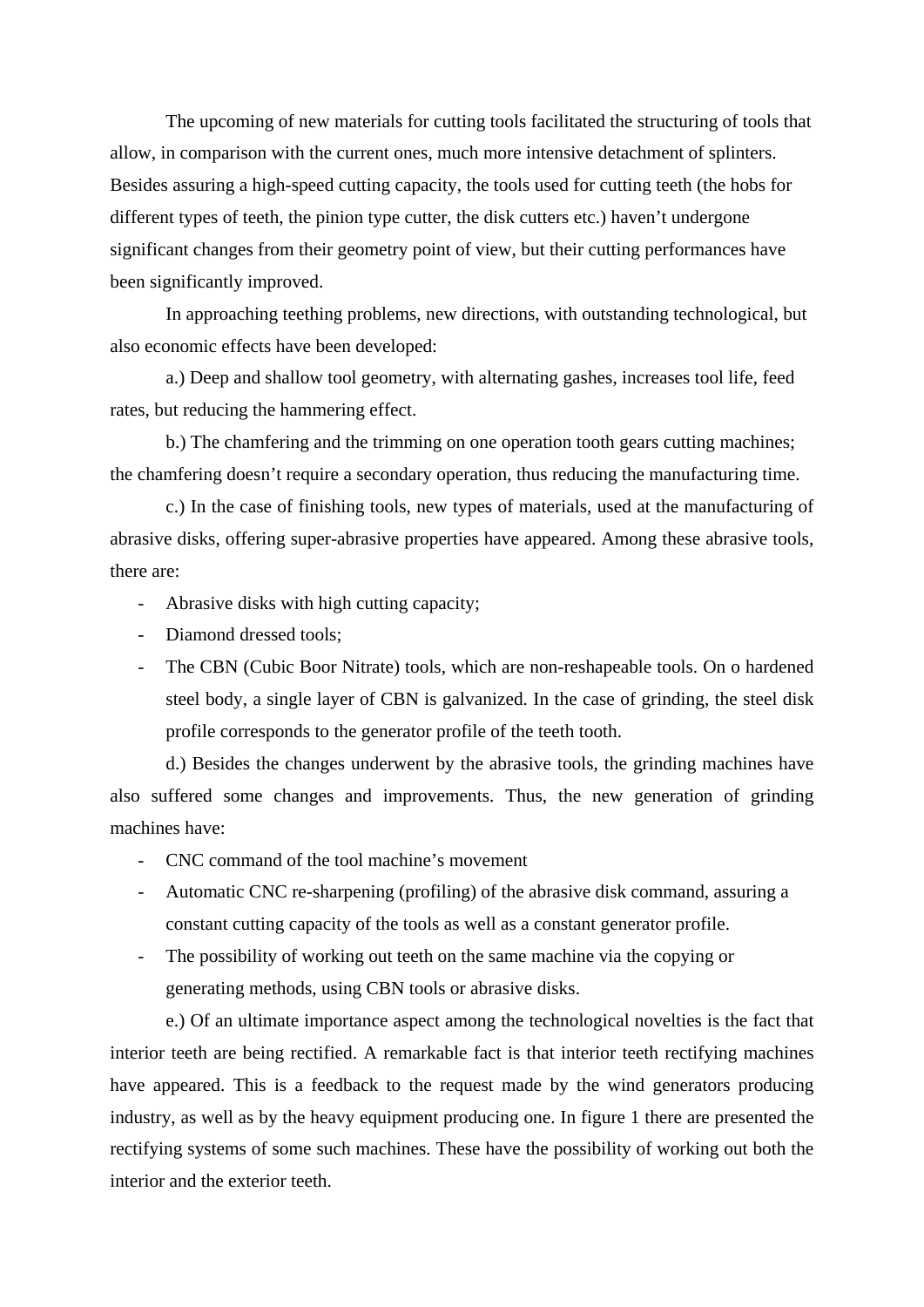The upcoming of new materials for cutting tools facilitated the structuring of tools that allow, in comparison with the current ones, much more intensive detachment of splinters. Besides assuring a high-speed cutting capacity, the tools used for cutting teeth (the hobs for different types of teeth, the pinion type cutter, the disk cutters etc.) haven't undergone significant changes from their geometry point of view, but their cutting performances have been significantly improved.

 In approaching teething problems, new directions, with outstanding technological, but also economic effects have been developed:

 a.) Deep and shallow tool geometry, with alternating gashes, increases tool life, feed rates, but reducing the hammering effect.

 b.) The chamfering and the trimming on one operation tooth gears cutting machines; the chamfering doesn't require a secondary operation, thus reducing the manufacturing time.

 c.) In the case of finishing tools, new types of materials, used at the manufacturing of abrasive disks, offering super-abrasive properties have appeared. Among these abrasive tools, there are:

- Abrasive disks with high cutting capacity;
- Diamond dressed tools;
- The CBN (Cubic Boor Nitrate) tools, which are non-reshapeable tools. On o hardened steel body, a single layer of CBN is galvanized. In the case of grinding, the steel disk profile corresponds to the generator profile of the teeth tooth.

 d.) Besides the changes underwent by the abrasive tools, the grinding machines have also suffered some changes and improvements. Thus, the new generation of grinding machines have:

- CNC command of the tool machine's movement
- Automatic CNC re-sharpening (profiling) of the abrasive disk command, assuring a constant cutting capacity of the tools as well as a constant generator profile.
- The possibility of working out teeth on the same machine via the copying or generating methods, using CBN tools or abrasive disks.

 e.) Of an ultimate importance aspect among the technological novelties is the fact that interior teeth are being rectified. A remarkable fact is that interior teeth rectifying machines have appeared. This is a feedback to the request made by the wind generators producing industry, as well as by the heavy equipment producing one. In figure 1 there are presented the rectifying systems of some such machines. These have the possibility of working out both the interior and the exterior teeth.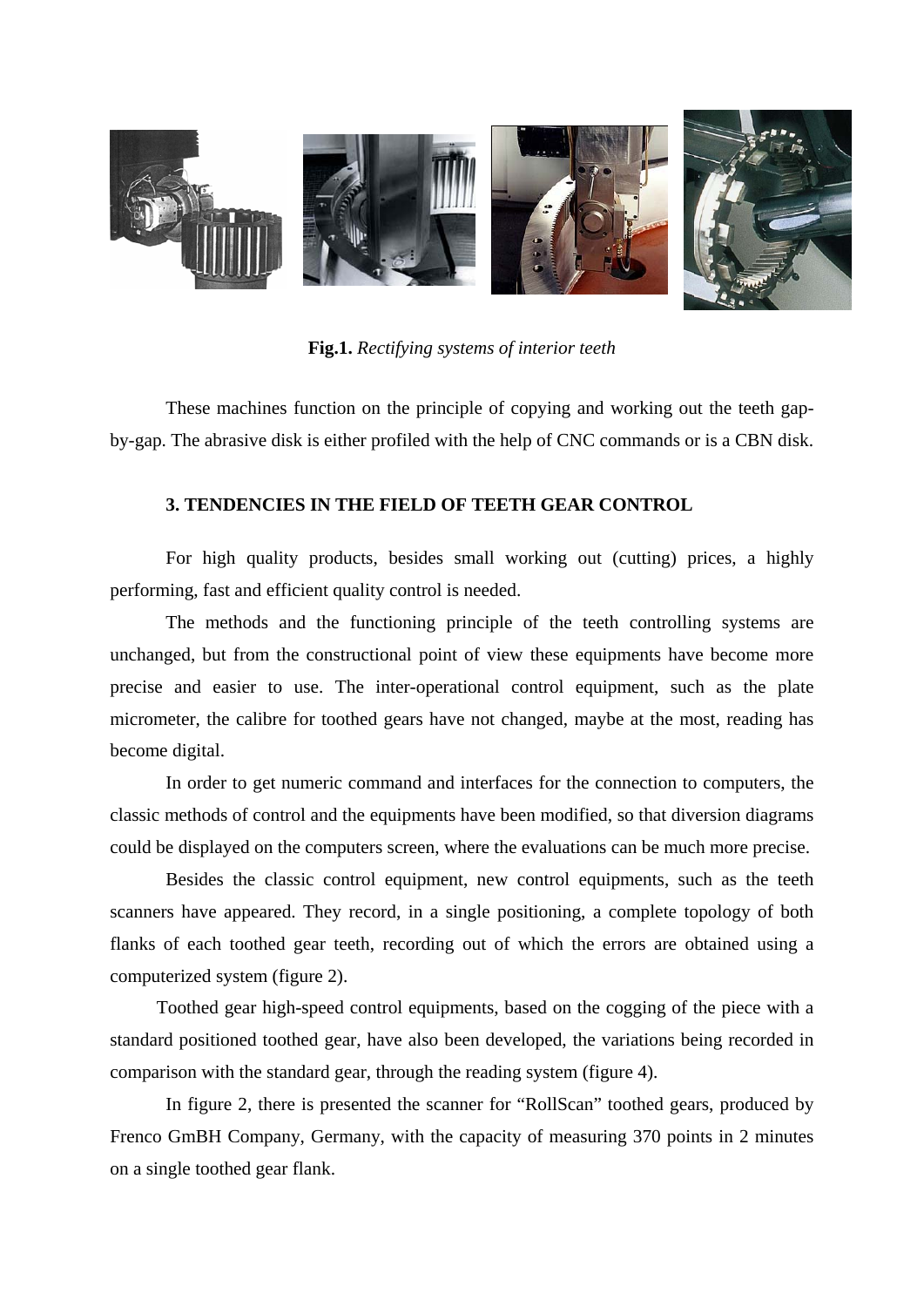

**Fig.1.** *Rectifying systems of interior teeth*

 These machines function on the principle of copying and working out the teeth gapby-gap. The abrasive disk is either profiled with the help of CNC commands or is a CBN disk.

#### **3. TENDENCIES IN THE FIELD OF TEETH GEAR CONTROL**

 For high quality products, besides small working out (cutting) prices, a highly performing, fast and efficient quality control is needed.

 The methods and the functioning principle of the teeth controlling systems are unchanged, but from the constructional point of view these equipments have become more precise and easier to use. The inter-operational control equipment, such as the plate micrometer, the calibre for toothed gears have not changed, maybe at the most, reading has become digital.

 In order to get numeric command and interfaces for the connection to computers, the classic methods of control and the equipments have been modified, so that diversion diagrams could be displayed on the computers screen, where the evaluations can be much more precise.

 Besides the classic control equipment, new control equipments, such as the teeth scanners have appeared. They record, in a single positioning, a complete topology of both flanks of each toothed gear teeth, recording out of which the errors are obtained using a computerized system (figure 2).

 Toothed gear high-speed control equipments, based on the cogging of the piece with a standard positioned toothed gear, have also been developed, the variations being recorded in comparison with the standard gear, through the reading system (figure 4).

In figure 2, there is presented the scanner for "RollScan" toothed gears, produced by Frenco GmBH Company, Germany, with the capacity of measuring 370 points in 2 minutes on a single toothed gear flank.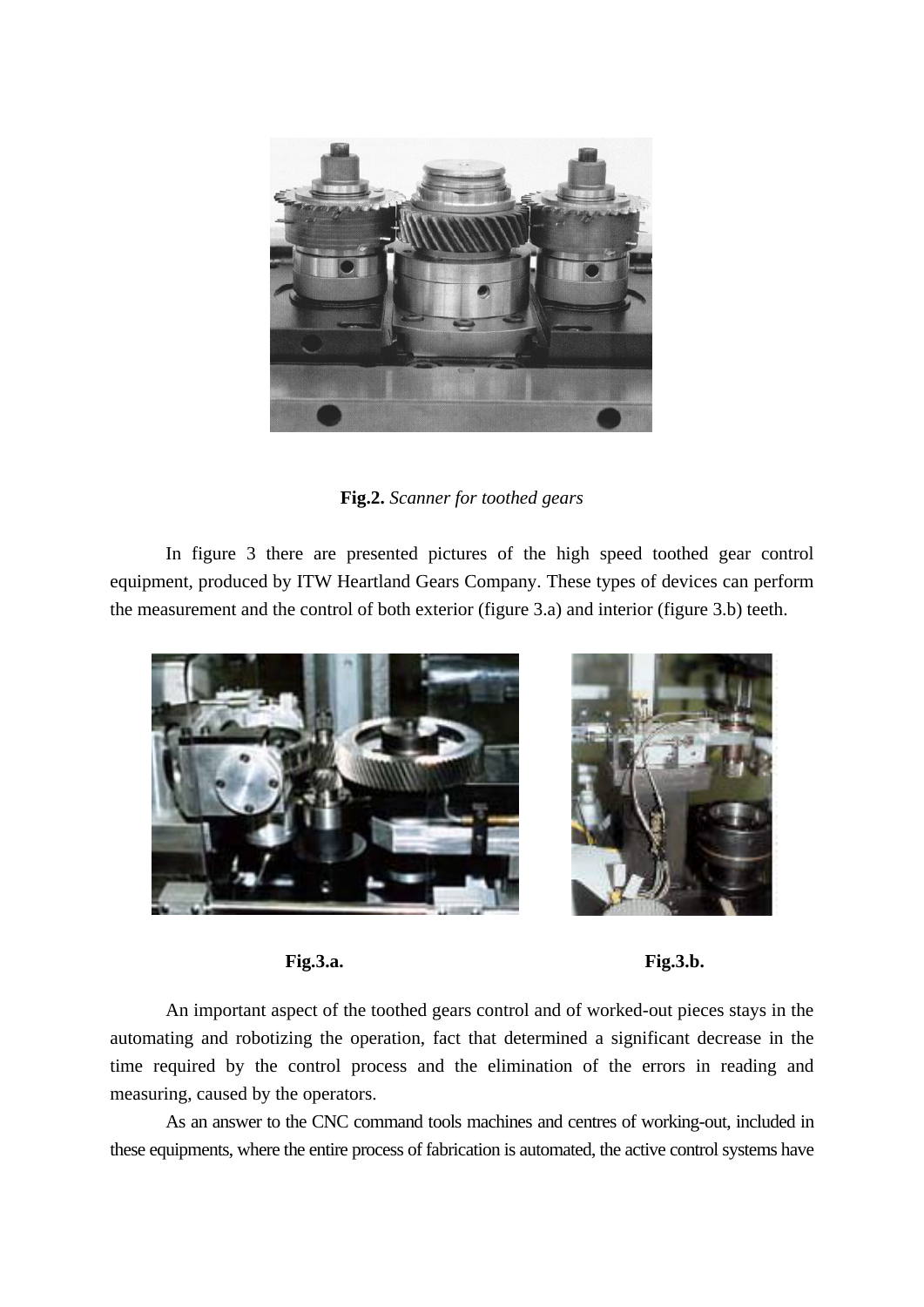

**Fig.2.** *Scanner for toothed gears*

 In figure 3 there are presented pictures of the high speed toothed gear control equipment, produced by ITW Heartland Gears Company. These types of devices can perform the measurement and the control of both exterior (figure 3.a) and interior (figure 3.b) teeth.



**Fig.3.a. Fig.3.b.** 

 An important aspect of the toothed gears control and of worked-out pieces stays in the automating and robotizing the operation, fact that determined a significant decrease in the time required by the control process and the elimination of the errors in reading and measuring, caused by the operators.

 As an answer to the CNC command tools machines and centres of working-out, included in these equipments, where the entire process of fabrication is automated, the active control systems have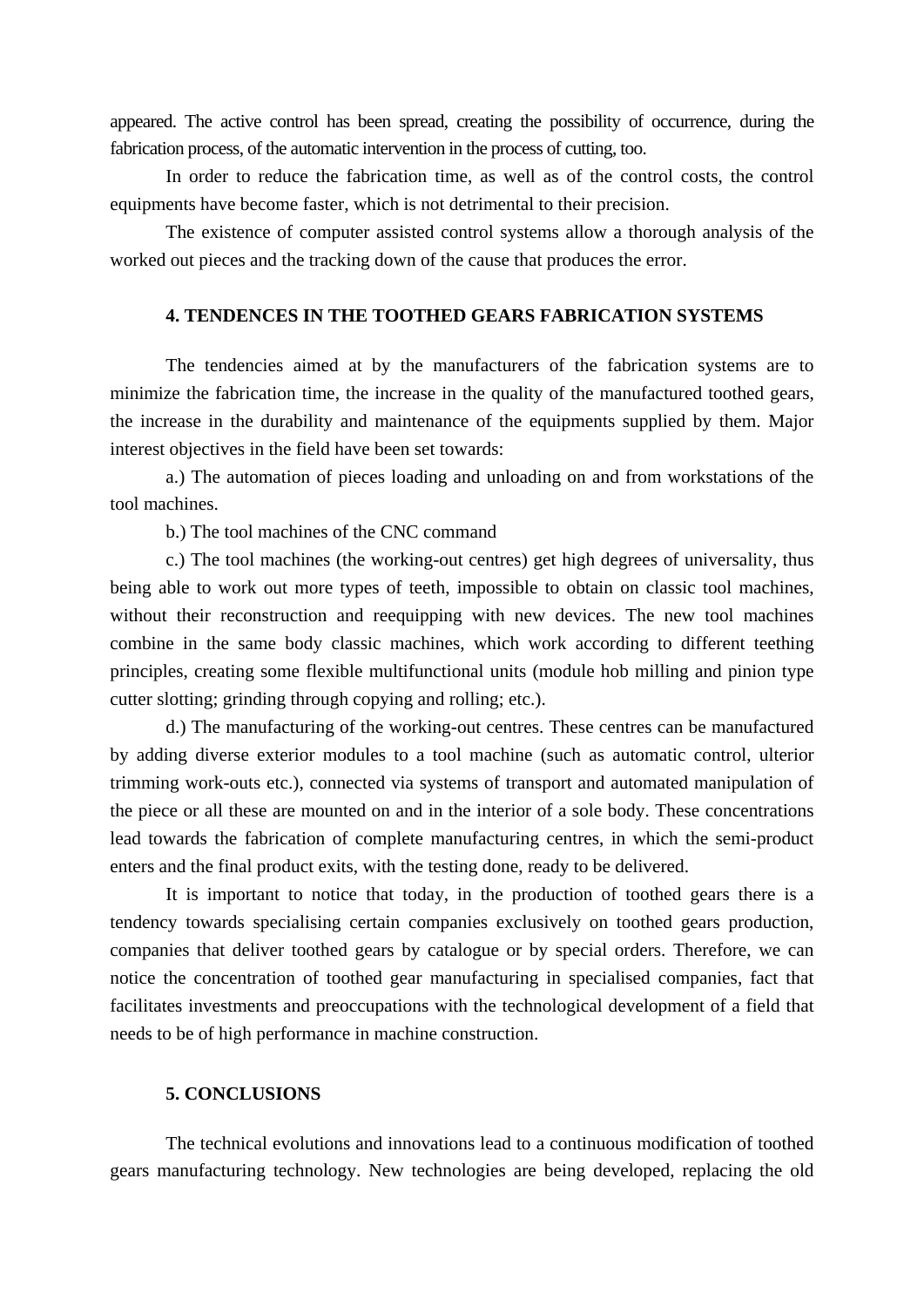appeared. The active control has been spread, creating the possibility of occurrence, during the fabrication process, of the automatic intervention in the process of cutting, too.

 In order to reduce the fabrication time, as well as of the control costs, the control equipments have become faster, which is not detrimental to their precision.

 The existence of computer assisted control systems allow a thorough analysis of the worked out pieces and the tracking down of the cause that produces the error.

#### **4. TENDENCES IN THE TOOTHED GEARS FABRICATION SYSTEMS**

 The tendencies aimed at by the manufacturers of the fabrication systems are to minimize the fabrication time, the increase in the quality of the manufactured toothed gears, the increase in the durability and maintenance of the equipments supplied by them. Major interest objectives in the field have been set towards:

 a.) The automation of pieces loading and unloading on and from workstations of the tool machines.

b.) The tool machines of the CNC command

 c.) The tool machines (the working-out centres) get high degrees of universality, thus being able to work out more types of teeth, impossible to obtain on classic tool machines, without their reconstruction and reequipping with new devices. The new tool machines combine in the same body classic machines, which work according to different teething principles, creating some flexible multifunctional units (module hob milling and pinion type cutter slotting; grinding through copying and rolling; etc.).

 d.) The manufacturing of the working-out centres. These centres can be manufactured by adding diverse exterior modules to a tool machine (such as automatic control, ulterior trimming work-outs etc.), connected via systems of transport and automated manipulation of the piece or all these are mounted on and in the interior of a sole body. These concentrations lead towards the fabrication of complete manufacturing centres, in which the semi-product enters and the final product exits, with the testing done, ready to be delivered.

 It is important to notice that today, in the production of toothed gears there is a tendency towards specialising certain companies exclusively on toothed gears production, companies that deliver toothed gears by catalogue or by special orders. Therefore, we can notice the concentration of toothed gear manufacturing in specialised companies, fact that facilitates investments and preoccupations with the technological development of a field that needs to be of high performance in machine construction.

#### **5. CONCLUSIONS**

 The technical evolutions and innovations lead to a continuous modification of toothed gears manufacturing technology. New technologies are being developed, replacing the old